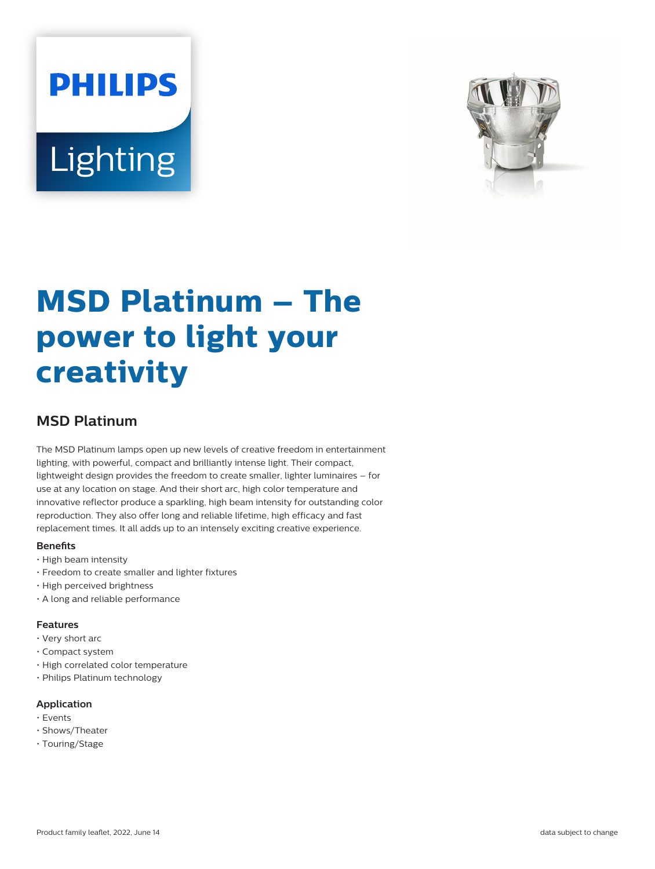# **PHILIPS** Lighting



## **MSD Platinum – The power to light your creativity**

### **MSD Platinum**

The MSD Platinum lamps open up new levels of creative freedom in entertainment lighting, with powerful, compact and brilliantly intense light. Their compact, lightweight design provides the freedom to create smaller, lighter luminaires – for use at any location on stage. And their short arc, high color temperature and innovative reflector produce a sparkling, high beam intensity for outstanding color reproduction. They also offer long and reliable lifetime, high efficacy and fast replacement times. It all adds up to an intensely exciting creative experience.

#### **Benets**

- High beam intensity
- Freedom to create smaller and lighter fixtures
- High perceived brightness
- A long and reliable performance

#### **Features**

- Very short arc
- Compact system
- High correlated color temperature
- Philips Platinum technology

#### **Application**

- Events
- Shows/Theater
- Touring/Stage